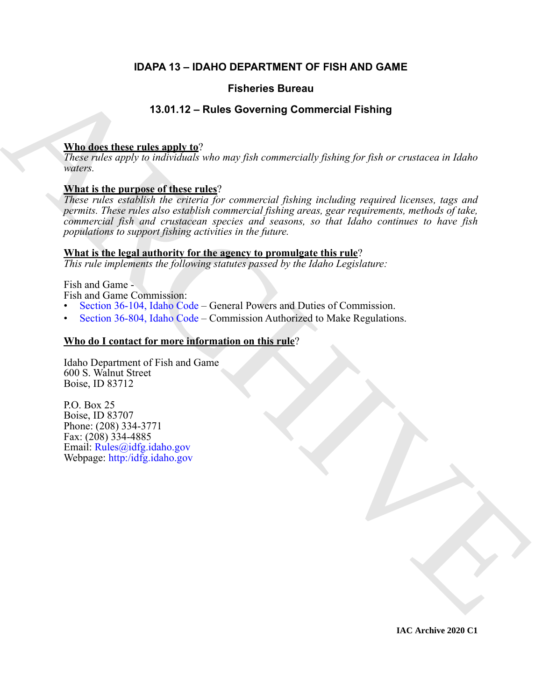### **IDAPA 13 – IDAHO DEPARTMENT OF FISH AND GAME**

#### **Fisheries Bureau**

#### **13.01.12 – Rules Governing Commercial Fishing**

#### **Who does these rules apply to**?

*These rules apply to individuals who may fish commercially fishing for fish or crustacea in Idaho waters.*

#### **What is the purpose of these rules**?

**Fisheries Bureau<br>
13.01.12 - Rules Governing [C](https://legislature.idaho.gov/statutesrules/idstat/Title36/T36CH8/SECT36-804/)ommercial Fishing**<br>
These roles rules and the particle of these rules<br>
These roles rules in the complete of the complete the content of the complete projections for the compl *These rules establish the criteria for commercial fishing including required licenses, tags and permits. These rules also establish commercial fishing areas, gear requirements, methods of take, commercial fish and crustacean species and seasons, so that Idaho continues to have fish populations to support fishing activities in the future.* 

#### **What is the legal authority for the agency to promulgate this rule**?

*This rule implements the following statutes passed by the Idaho Legislature:*

Fish and Game -

Fish and Game Commission:

- Section 36-104, Idaho Code General Powers and Duties of Commission.
- Section 36-804, Idaho Code Commission Authorized to Make Regulations.

#### **Who do I contact for more information on this rule**?

Idaho Department of Fish and Game 600 S. Walnut Street Boise, ID 83712

P.O. Box 25 Boise, ID 83707 Phone: (208) 334-3771 Fax: (208) 334-4885 Email: Rules@idfg.idaho.gov Webpage: http:/idfg.idaho.gov

**IAC Archive 2020 C1**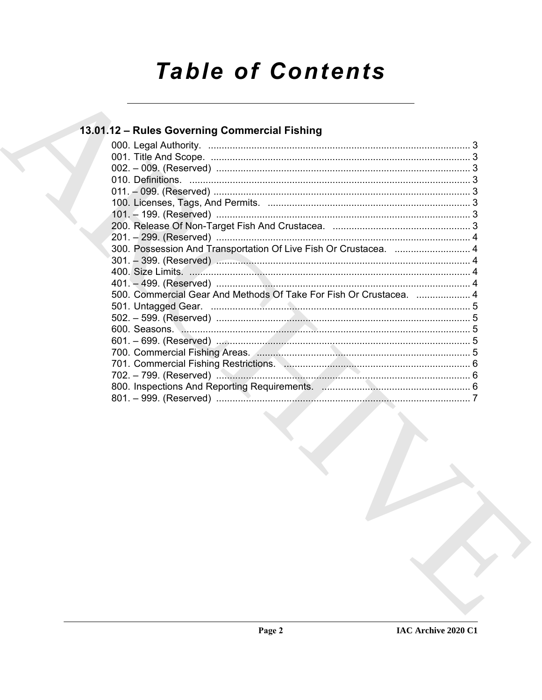# **Table of Contents**

### 13.01.12 - Rules Governing Commercial Fishing

| 300. Possession And Transportation Of Live Fish Or Crustacea.  4   |  |
|--------------------------------------------------------------------|--|
|                                                                    |  |
|                                                                    |  |
|                                                                    |  |
| 500. Commercial Gear And Methods Of Take For Fish Or Crustacea.  4 |  |
|                                                                    |  |
|                                                                    |  |
|                                                                    |  |
|                                                                    |  |
|                                                                    |  |
|                                                                    |  |
|                                                                    |  |
|                                                                    |  |
|                                                                    |  |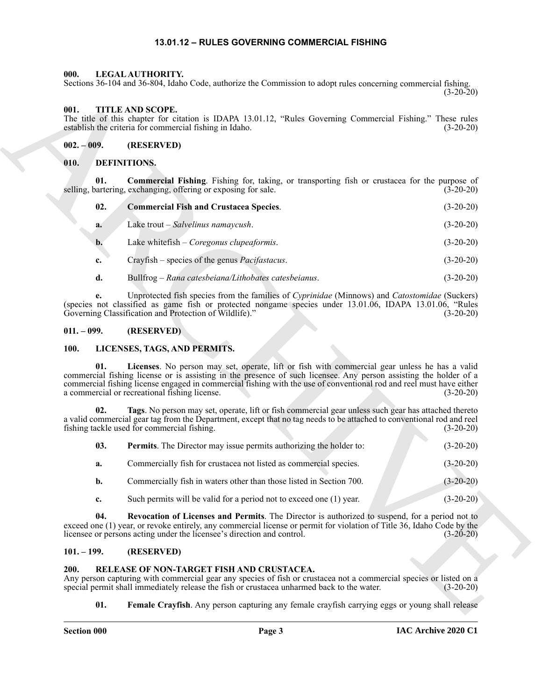#### **13.01.12 – RULES GOVERNING COMMERCIAL FISHING**

#### <span id="page-2-12"></span><span id="page-2-1"></span><span id="page-2-0"></span>**000. LEGAL AUTHORITY.**

#### <span id="page-2-20"></span><span id="page-2-2"></span>**001. TITLE AND SCOPE.**

#### <span id="page-2-3"></span>**002. – 009. (RESERVED)**

#### <span id="page-2-11"></span><span id="page-2-10"></span><span id="page-2-9"></span><span id="page-2-4"></span>**010. DEFINITIONS.**

| Sections 36-104 and 36-804, Idaho Code, authorize the Commission to adopt rules concerning commercial fishing. | $(3-20-20)$ |                                                                                                                                                                                                                                                                                                                                                                                            |             |
|----------------------------------------------------------------------------------------------------------------|-------------|--------------------------------------------------------------------------------------------------------------------------------------------------------------------------------------------------------------------------------------------------------------------------------------------------------------------------------------------------------------------------------------------|-------------|
| 001.                                                                                                           |             | <b>TITLE AND SCOPE.</b><br>The title of this chapter for citation is IDAPA 13.01.12, "Rules Governing Commercial Fishing." These rules<br>establish the criteria for commercial fishing in Idaho.                                                                                                                                                                                          | $(3-20-20)$ |
| $002.-009.$                                                                                                    |             | (RESERVED)                                                                                                                                                                                                                                                                                                                                                                                 |             |
| 010.                                                                                                           |             | DEFINITIONS.                                                                                                                                                                                                                                                                                                                                                                               |             |
| 01.                                                                                                            |             | Commercial Fishing. Fishing for, taking, or transporting fish or crustacea for the purpose of<br>selling, bartering, exchanging, offering or exposing for sale.                                                                                                                                                                                                                            | $(3-20-20)$ |
|                                                                                                                | 02.         | <b>Commercial Fish and Crustacea Species.</b>                                                                                                                                                                                                                                                                                                                                              | $(3-20-20)$ |
| a.                                                                                                             |             | Lake trout – Salvelinus namaycush.                                                                                                                                                                                                                                                                                                                                                         | $(3-20-20)$ |
| $\mathbf{b}$ .                                                                                                 |             | Lake whitefish - Coregonus clupeaformis.                                                                                                                                                                                                                                                                                                                                                   | $(3-20-20)$ |
| c.                                                                                                             |             | Crayfish – species of the genus <i>Pacifastacus</i> .                                                                                                                                                                                                                                                                                                                                      | $(3-20-20)$ |
| d.                                                                                                             |             | Bullfrog – Rana catesbeiana/Lithobates catesbeianus.                                                                                                                                                                                                                                                                                                                                       | $(3-20-20)$ |
| e.                                                                                                             |             | Unprotected fish species from the families of Cyprinidae (Minnows) and Catostomidae (Suckers)<br>(species not classified as game fish or protected nongame species under 13.01.06, IDAPA 13.01.06, "Rules<br>Governing Classification and Protection of Wildlife)."                                                                                                                        | $(3-20-20)$ |
| $011. - 099.$                                                                                                  |             | (RESERVED)                                                                                                                                                                                                                                                                                                                                                                                 |             |
| <b>100.</b>                                                                                                    |             | LICENSES, TAGS, AND PERMITS.                                                                                                                                                                                                                                                                                                                                                               |             |
| 01.                                                                                                            |             | Licenses. No person may set, operate, lift or fish with commercial gear unless he has a valid<br>commercial fishing license or is assisting in the presence of such licensee. Any person assisting the holder of a<br>commercial fishing license engaged in commercial fishing with the use of conventional rod and reel must have either<br>a commercial or recreational fishing license. | $(3-20-20)$ |
|                                                                                                                | 02.         | Tags. No person may set, operate, lift or fish commercial gear unless such gear has attached thereto<br>a valid commercial gear tag from the Department, except that no tag needs to be attached to conventional rod and reel<br>fishing tackle used for commercial fishing.                                                                                                               | $(3-20-20)$ |
| 03.                                                                                                            |             | <b>Permits</b> . The Director may issue permits authorizing the holder to:                                                                                                                                                                                                                                                                                                                 | $(3-20-20)$ |
| a.                                                                                                             |             | Commercially fish for crustacea not listed as commercial species.                                                                                                                                                                                                                                                                                                                          | $(3-20-20)$ |
| $\mathbf{b}$ .                                                                                                 |             | Commercially fish in waters other than those listed in Section 700.                                                                                                                                                                                                                                                                                                                        | $(3-20-20)$ |
| c.                                                                                                             |             | Such permits will be valid for a period not to exceed one (1) year.                                                                                                                                                                                                                                                                                                                        | $(3-20-20)$ |
|                                                                                                                | 04.         | Revocation of Licenses and Permits. The Director is authorized to suspend, for a period not to<br>exceed one (1) year, or revoke entirely, any commercial license or permit for violation of Title 36, Idaho Code by the<br>licensee or persons acting under the licensee's direction and control.                                                                                         | $(3-20-20)$ |
| $101. - 199.$                                                                                                  |             | (RESERVED)                                                                                                                                                                                                                                                                                                                                                                                 |             |
| <b>200.</b><br>01.                                                                                             |             | RELEASE OF NON-TARGET FISH AND CRUSTACEA.<br>Any person capturing with commercial gear any species of fish or crustacea not a commercial species or listed on a<br>special permit shall immediately release the fish or crustacea unharmed back to the water.<br>Female Crayfish. Any person capturing any female crayfish carrying eggs or young shall release                            | $(3-20-20)$ |
|                                                                                                                |             |                                                                                                                                                                                                                                                                                                                                                                                            |             |

#### <span id="page-2-5"></span>**011. – 099. (RESERVED)**

#### <span id="page-2-14"></span><span id="page-2-13"></span><span id="page-2-6"></span>**100. LICENSES, TAGS, AND PERMITS.**

<span id="page-2-19"></span><span id="page-2-16"></span><span id="page-2-15"></span>

| 03. | <b>Permits</b> . The Director may issue permits authorizing the holder to: | $(3-20-20)$ |
|-----|----------------------------------------------------------------------------|-------------|
| а.  | Commercially fish for crustacea not listed as commercial species.          | $(3-20-20)$ |
| b.  | Commercially fish in waters other than those listed in Section 700.        | $(3-20-20)$ |
| c.  | Such permits will be valid for a period not to exceed one (1) year.        | $(3-20-20)$ |

#### <span id="page-2-7"></span>**101. – 199. (RESERVED)**

#### <span id="page-2-18"></span><span id="page-2-17"></span><span id="page-2-8"></span>**200. RELEASE OF NON-TARGET FISH AND CRUSTACEA.**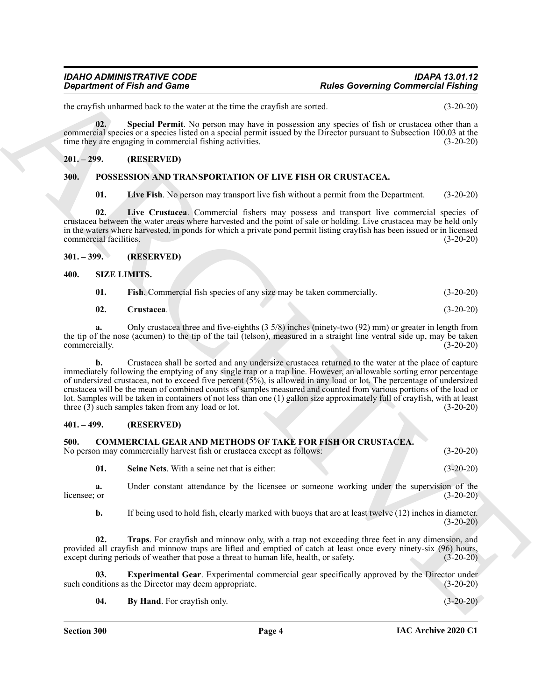the crayfish unharmed back to the water at the time the crayfish are sorted. (3-20-20)

<span id="page-3-12"></span>**02. Special Permit**. No person may have in possession any species of fish or crustacea other than a commercial species or a species listed on a special permit issued by the Director pursuant to Subsection 100.03 at the time they are engaging in commercial fishing activities. (3-20-20)

#### <span id="page-3-0"></span>**201. – 299. (RESERVED)**

#### <span id="page-3-1"></span>**300. POSSESSION AND TRANSPORTATION OF LIVE FISH OR CRUSTACEA.**

<span id="page-3-11"></span><span id="page-3-10"></span><span id="page-3-9"></span>**01. Live Fish**. No person may transport live fish without a permit from the Department. (3-20-20)

**02. Live Crustacea**. Commercial fishers may possess and transport live commercial species of crustacea between the water areas where harvested and the point of sale or holding. Live crustacea may be held only in the waters where harvested, in ponds for which a private pond permit listing crayfish has been issued or in licensed commercial facilities. (3-20-20)

#### <span id="page-3-2"></span>**301. – 399. (RESERVED)**

#### <span id="page-3-3"></span>**400. SIZE LIMITS.**

<span id="page-3-15"></span><span id="page-3-14"></span><span id="page-3-13"></span>

| 01. | <b>Fish.</b> Commercial fish species of any size may be taken commercially. |  | $(3-20-20)$ |
|-----|-----------------------------------------------------------------------------|--|-------------|
|     |                                                                             |  |             |

| 02.<br>Crustacea.\ | $(3-20-20)$ |
|--------------------|-------------|
|--------------------|-------------|

**a.** Only crustacea three and five-eighths (3 5/8) inches (ninety-two (92) mm) or greater in length from the tip of the nose (acumen) to the tip of the tail (telson), measured in a straight line ventral side up, may be taken commercially.  $(3-20-20)$ commercially.

**Equivariant of Finit and Game**<br>
Interaction of Finit and Game<br>
Interaction (and Section Maximum interaction and Section 20 and Section 20 and Section 20 and Section 20 and Section 20 and Section 20 and Section 20 and Sec **b.** Crustacea shall be sorted and any undersize crustacea returned to the water at the place of capture immediately following the emptying of any single trap or a trap line. However, an allowable sorting error percentage of undersized crustacea, not to exceed five percent  $(5\%)$ , is allowed in any load or lot. The percentage of undersized crustacea will be the mean of combined counts of samples measured and counted from various portions of the load or lot. Samples will be taken in containers of not less than one (1) gallon size approximately full of crayfish, with at least three (3) such samples taken from any load or lot. (3-20-20)

#### <span id="page-3-4"></span>**401. – 499. (RESERVED)**

#### <span id="page-3-6"></span><span id="page-3-5"></span>**500. COMMERCIAL GEAR AND METHODS OF TAKE FOR FISH OR CRUSTACEA.**

No person may commercially harvest fish or crustacea except as follows: (3-20-20)

**01. Seine Nets**. With a seine net that is either: (3-20-20)

**a.** Under constant attendance by the licensee or someone working under the supervision of the  $l$ icensee; or  $(3-20-20)$ 

**b.** If being used to hold fish, clearly marked with buoys that are at least twelve (12) inches in diameter.  $(3-20-20)$ 

**02. Traps**. For crayfish and minnow only, with a trap not exceeding three feet in any dimension, and provided all crayfish and minnow traps are lifted and emptied of catch at least once every ninety-six (96) hours, except during periods of weather that pose a threat to human life, health, or safety. (3-20-20)

**03. Experimental Gear**. Experimental commercial gear specifically approved by the Director under ditions as the Director may deem appropriate. (3-20-20) such conditions as the Director may deem appropriate.

<span id="page-3-8"></span><span id="page-3-7"></span>**04.** By Hand. For crayfish only. (3-20-20)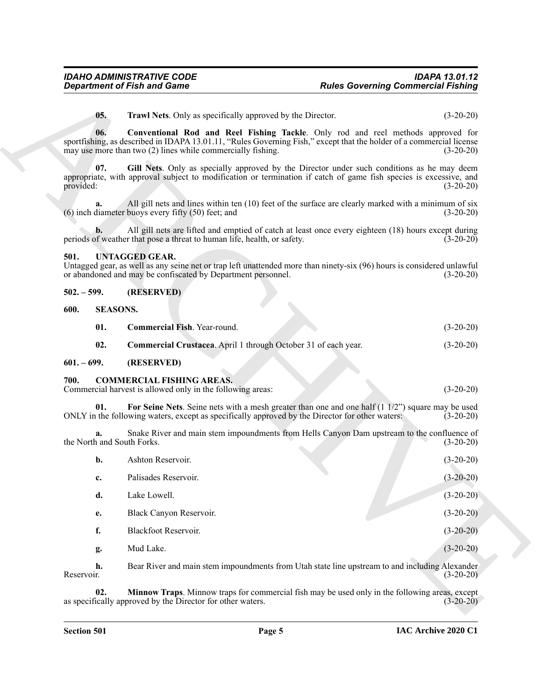#### <span id="page-4-14"></span><span id="page-4-9"></span><span id="page-4-0"></span>**501. UNTAGGED GEAR.**

<span id="page-4-2"></span><span id="page-4-1"></span>

| $502. - 599.$ | (RESERVED) |
|---------------|------------|
|---------------|------------|

<span id="page-4-13"></span><span id="page-4-12"></span><span id="page-4-11"></span>

| 01. | <b>Commercial Fish.</b> Year-round.                            | $(3-20-20)$ |
|-----|----------------------------------------------------------------|-------------|
| 02. | Commercial Crustacea. April 1 through October 31 of each year. | $(3-20-20)$ |

#### <span id="page-4-7"></span><span id="page-4-6"></span><span id="page-4-5"></span><span id="page-4-4"></span><span id="page-4-3"></span>**700. COMMERCIAL FISHING AREAS.**

<span id="page-4-10"></span><span id="page-4-8"></span>

|                                  | <b>Department of Fish and Game</b>                                                                                                                                                                                                                                      | <b>Rules Governing Commercial Fishing</b> |             |
|----------------------------------|-------------------------------------------------------------------------------------------------------------------------------------------------------------------------------------------------------------------------------------------------------------------------|-------------------------------------------|-------------|
| 05.                              | <b>Trawl Nets.</b> Only as specifically approved by the Director.                                                                                                                                                                                                       |                                           | $(3-20-20)$ |
| 06.                              | Conventional Rod and Reel Fishing Tackle. Only rod and reel methods approved for<br>sportfishing, as described in IDAPA 13.01.11, "Rules Governing Fish," except that the holder of a commercial license<br>may use more than two (2) lines while commercially fishing. |                                           | $(3-20-20)$ |
| 07.<br>provided:                 | Gill Nets. Only as specially approved by the Director under such conditions as he may deem<br>appropriate, with approval subject to modification or termination if catch of game fish species is excessive, and                                                         |                                           | $(3-20-20)$ |
| a.                               | All gill nets and lines within ten (10) feet of the surface are clearly marked with a minimum of six<br>$(6)$ inch diameter buoys every fifty $(50)$ feet; and                                                                                                          |                                           | $(3-20-20)$ |
| b.                               | All gill nets are lifted and emptied of catch at least once every eighteen (18) hours except during<br>periods of weather that pose a threat to human life, health, or safety.                                                                                          |                                           | $(3-20-20)$ |
| 501.                             | <b>UNTAGGED GEAR.</b><br>Untagged gear, as well as any seine net or trap left unattended more than ninety-six (96) hours is considered unlawful<br>or abandoned and may be confiscated by Department personnel.                                                         |                                           | $(3-20-20)$ |
| $502. - 599.$                    | (RESERVED)                                                                                                                                                                                                                                                              |                                           |             |
| <b>SEASONS.</b><br>600.          |                                                                                                                                                                                                                                                                         |                                           |             |
| 01.                              | Commercial Fish. Year-round.                                                                                                                                                                                                                                            |                                           | $(3-20-20)$ |
| 02.                              | Commercial Crustacea. April 1 through October 31 of each year.                                                                                                                                                                                                          |                                           | $(3-20-20)$ |
| $601 - 699.$                     | (RESERVED)                                                                                                                                                                                                                                                              |                                           |             |
| 700.                             | <b>COMMERCIAL FISHING AREAS.</b><br>Commercial harvest is allowed only in the following areas:                                                                                                                                                                          |                                           | $(3-20-20)$ |
| 01.                              | For Seine Nets. Seine nets with a mesh greater than one and one half $(1\ 1/2)$ square may be used<br>ONLY in the following waters, except as specifically approved by the Director for other waters:                                                                   |                                           | $(3-20-20)$ |
| a.<br>the North and South Forks. | Snake River and main stem impoundments from Hells Canyon Dam upstream to the confluence of                                                                                                                                                                              |                                           | $(3-20-20)$ |
| b.                               | Ashton Reservoir.                                                                                                                                                                                                                                                       |                                           | $(3-20-20)$ |
| c.                               | Palisades Reservoir.                                                                                                                                                                                                                                                    |                                           | $(3-20-20)$ |
| d.                               | Lake Lowell.                                                                                                                                                                                                                                                            |                                           | $(3-20-20)$ |
| e.                               | Black Canyon Reservoir.                                                                                                                                                                                                                                                 |                                           | $(3-20-20)$ |
| f.                               | Blackfoot Reservoir.                                                                                                                                                                                                                                                    |                                           | $(3-20-20)$ |
| g.                               | Mud Lake.                                                                                                                                                                                                                                                               |                                           | $(3-20-20)$ |
|                                  | Bear River and main stem impoundments from Utah state line upstream to and including Alexander                                                                                                                                                                          |                                           | $(3-20-20)$ |
| h.<br>Reservoir.                 |                                                                                                                                                                                                                                                                         |                                           |             |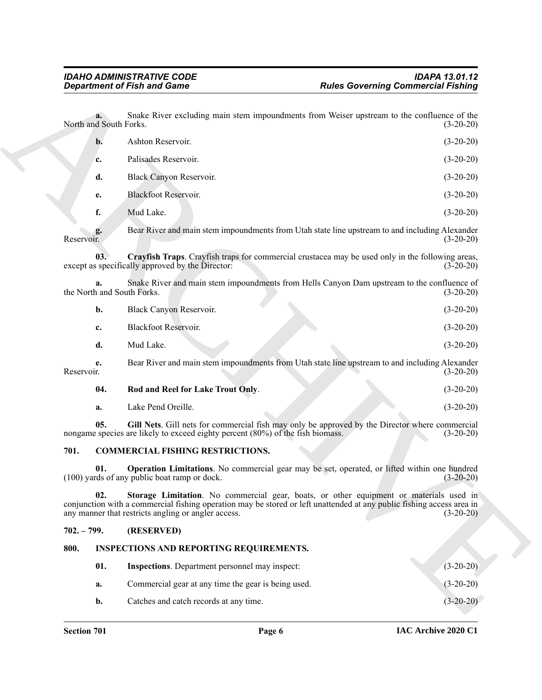<span id="page-5-3"></span>

|                                                            |                                | <b>Department of Fish and Game</b>                                             | <b>Rules Governing Commercial Fishing</b>                                                                                                                                                                                      |
|------------------------------------------------------------|--------------------------------|--------------------------------------------------------------------------------|--------------------------------------------------------------------------------------------------------------------------------------------------------------------------------------------------------------------------------|
|                                                            | а. -<br>North and South Forks. |                                                                                | Snake River excluding main stem impoundments from Weiser upstream to the confluence of the<br>$(3-20-20)$                                                                                                                      |
|                                                            | b.                             | Ashton Reservoir.                                                              | $(3-20-20)$                                                                                                                                                                                                                    |
|                                                            | c.                             | Palisades Reservoir.                                                           | $(3-20-20)$                                                                                                                                                                                                                    |
|                                                            | d.                             | Black Canyon Reservoir.                                                        | $(3-20-20)$                                                                                                                                                                                                                    |
|                                                            | e.                             | <b>Blackfoot Reservoir.</b>                                                    | $(3-20-20)$                                                                                                                                                                                                                    |
|                                                            | f.                             | Mud Lake.                                                                      | $(3-20-20)$                                                                                                                                                                                                                    |
| Reservoir.                                                 | g.                             |                                                                                | Bear River and main stem impoundments from Utah state line upstream to and including Alexander<br>$(3-20-20)$                                                                                                                  |
|                                                            | 03.                            | except as specifically approved by the Director:                               | Crayfish Traps. Crayfish traps for commercial crustacea may be used only in the following areas,<br>$(3-20-20)$                                                                                                                |
|                                                            | a.                             | the North and South Forks.                                                     | Snake River and main stem impoundments from Hells Canyon Dam upstream to the confluence of<br>$(3-20-20)$                                                                                                                      |
|                                                            | b.                             | Black Canyon Reservoir.                                                        | $(3-20-20)$                                                                                                                                                                                                                    |
|                                                            | c.                             | Blackfoot Reservoir.                                                           | $(3-20-20)$                                                                                                                                                                                                                    |
|                                                            | d.                             | Mud Lake.                                                                      | $(3-20-20)$                                                                                                                                                                                                                    |
| Reservoir.                                                 | e.                             |                                                                                | Bear River and main stem impoundments from Utah state line upstream to and including Alexander<br>$(3-20-20)$                                                                                                                  |
|                                                            | 04.                            | Rod and Reel for Lake Trout Only.                                              | $(3-20-20)$                                                                                                                                                                                                                    |
|                                                            | a.                             | Lake Pend Oreille.                                                             | $(3-20-20)$                                                                                                                                                                                                                    |
|                                                            | 05.                            | nongame species are likely to exceed eighty percent (80%) of the fish biomass. | Gill Nets. Gill nets for commercial fish may only be approved by the Director where commercial<br>$(3-20-20)$                                                                                                                  |
| 701.                                                       |                                | <b>COMMERCIAL FISHING RESTRICTIONS.</b>                                        |                                                                                                                                                                                                                                |
|                                                            | 01.                            | (100) yards of any public boat ramp or dock.                                   | Operation Limitations. No commercial gear may be set, operated, or lifted within one hundred<br>$(3-20-20)$                                                                                                                    |
| 02.<br>any manner that restricts angling or angler access. |                                |                                                                                | Storage Limitation. No commercial gear, boats, or other equipment or materials used in<br>conjunction with a commercial fishing operation may be stored or left unattended at any public fishing access area in<br>$(3-20-20)$ |
|                                                            | $702. - 799.$                  | (RESERVED)                                                                     |                                                                                                                                                                                                                                |
| 800.                                                       |                                | <b>INSPECTIONS AND REPORTING REQUIREMENTS.</b>                                 |                                                                                                                                                                                                                                |
|                                                            | 01.                            | <b>Inspections.</b> Department personnel may inspect:                          | $(3-20-20)$                                                                                                                                                                                                                    |
|                                                            | a.                             | Commercial gear at any time the gear is being used.                            | $(3-20-20)$                                                                                                                                                                                                                    |
|                                                            | b.                             | Catches and catch records at any time.                                         | $(3-20-20)$                                                                                                                                                                                                                    |

#### <span id="page-5-8"></span><span id="page-5-7"></span><span id="page-5-6"></span><span id="page-5-5"></span><span id="page-5-4"></span><span id="page-5-0"></span>**701. COMMERCIAL FISHING RESTRICTIONS.**

#### <span id="page-5-1"></span>**702. – 799. (RESERVED)**

#### <span id="page-5-2"></span>**800. INSPECTIONS AND REPORTING REQUIREMENTS.**

<span id="page-5-9"></span>

| 01. | <b>Inspections.</b> Department personnel may inspect: | $(3-20-20)$ |
|-----|-------------------------------------------------------|-------------|
| а.  | Commercial gear at any time the gear is being used.   | $(3-20-20)$ |
| b.  | Catches and catch records at any time.                | $(3-20-20)$ |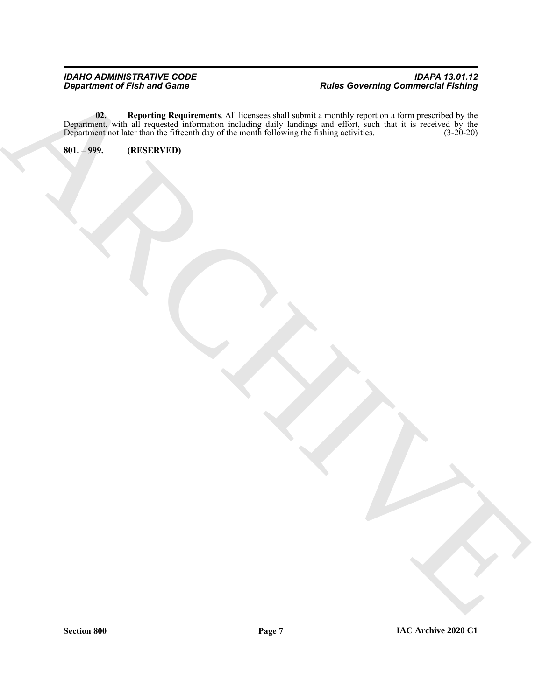ARCHIVE **02. Reporting Requirements**. All licensees shall submit a monthly report on a form prescribed by the Department, with all requested information including daily landings and effort, such that it is received by the Department not later than the fifteenth day of the month following the fishing activities. (3-20-20)

<span id="page-6-0"></span>**801. – 999. (RESERVED)**